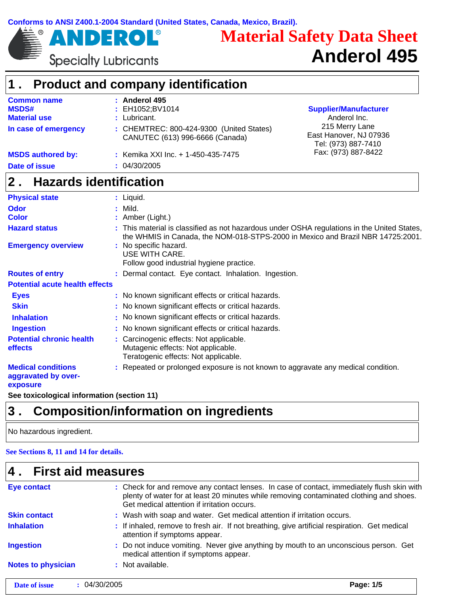

ROL®

# **Material Safety Data Sheet Anderol 495**

**Specialty Lubricants** 

Ε

 $\blacktriangleright$ 

 $\pmb{\Lambda}$ 

|                                                              | <b>Product and company identification</b>                                                                                                                                    |                                                                 |
|--------------------------------------------------------------|------------------------------------------------------------------------------------------------------------------------------------------------------------------------------|-----------------------------------------------------------------|
| <b>Common name</b><br><b>MSDS#</b><br><b>Material use</b>    | : Anderol 495<br>EH1052;BV1014<br>Lubricant.                                                                                                                                 | <b>Supplier/Manufacturer</b><br>Anderol Inc.                    |
| In case of emergency                                         | : CHEMTREC: 800-424-9300 (United States)<br>CANUTEC (613) 996-6666 (Canada)                                                                                                  | 215 Merry Lane<br>East Hanover, NJ 07936<br>Tel: (973) 887-7410 |
| <b>MSDS authored by:</b>                                     | : Kemika XXI Inc. + 1-450-435-7475                                                                                                                                           | Fax: (973) 887-8422                                             |
| <b>Date of issue</b>                                         | 04/30/2005                                                                                                                                                                   |                                                                 |
| 2.<br><b>Hazards identification</b>                          |                                                                                                                                                                              |                                                                 |
| <b>Physical state</b>                                        | : Liquid.                                                                                                                                                                    |                                                                 |
| <b>Odor</b>                                                  | Mild.                                                                                                                                                                        |                                                                 |
| <b>Color</b>                                                 | Amber (Light.)                                                                                                                                                               |                                                                 |
| <b>Hazard status</b>                                         | This material is classified as not hazardous under OSHA regulations in the United States,<br>the WHMIS in Canada, the NOM-018-STPS-2000 in Mexico and Brazil NBR 14725:2001. |                                                                 |
| <b>Emergency overview</b>                                    | : No specific hazard.<br>USE WITH CARE.<br>Follow good industrial hygiene practice.                                                                                          |                                                                 |
| <b>Routes of entry</b>                                       | : Dermal contact. Eye contact. Inhalation. Ingestion.                                                                                                                        |                                                                 |
| <b>Potential acute health effects</b>                        |                                                                                                                                                                              |                                                                 |
| <b>Eyes</b>                                                  | : No known significant effects or critical hazards.                                                                                                                          |                                                                 |
| <b>Skin</b>                                                  | No known significant effects or critical hazards.                                                                                                                            |                                                                 |
| <b>Inhalation</b>                                            | No known significant effects or critical hazards.                                                                                                                            |                                                                 |
| <b>Ingestion</b>                                             | No known significant effects or critical hazards.                                                                                                                            |                                                                 |
| <b>Potential chronic health</b><br>effects                   | Carcinogenic effects: Not applicable.<br>Mutagenic effects: Not applicable.<br>Teratogenic effects: Not applicable.                                                          |                                                                 |
| <b>Medical conditions</b><br>aggravated by over-<br>exposure | : Repeated or prolonged exposure is not known to aggravate any medical condition.                                                                                            |                                                                 |
| See toxicological information (section 11)                   |                                                                                                                                                                              |                                                                 |

# **3 . Composition/information on ingredients**

No hazardous ingredient.

 $\mathbf{I}$ 

#### **See Sections 8, 11 and 14 for details.**

| <b>Eye contact</b>        | : Check for and remove any contact lenses. In case of contact, immediately flush skin with<br>plenty of water for at least 20 minutes while removing contaminated clothing and shoes.<br>Get medical attention if irritation occurs. |
|---------------------------|--------------------------------------------------------------------------------------------------------------------------------------------------------------------------------------------------------------------------------------|
| <b>Skin contact</b>       | : Wash with soap and water. Get medical attention if irritation occurs.                                                                                                                                                              |
| <b>Inhalation</b>         | : If inhaled, remove to fresh air. If not breathing, give artificial respiration. Get medical<br>attention if symptoms appear.                                                                                                       |
| <b>Ingestion</b>          | : Do not induce vomiting. Never give anything by mouth to an unconscious person. Get<br>medical attention if symptoms appear.                                                                                                        |
| <b>Notes to physician</b> | : Not available.                                                                                                                                                                                                                     |
| Date of issue             | Page: 1/5<br>: 04/30/2005                                                                                                                                                                                                            |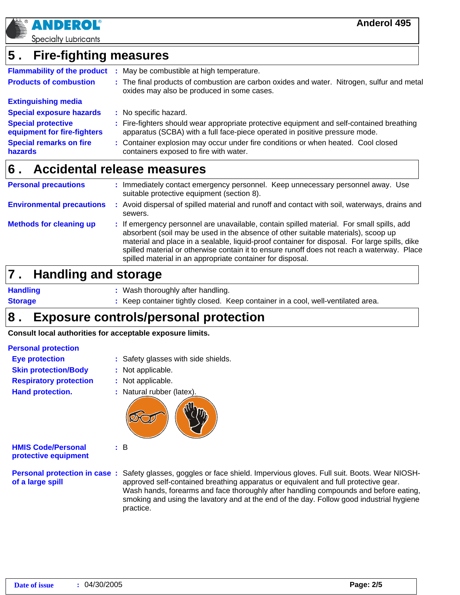

**Specialty Lubricants** 

#### **Fire-fighting measures 5 .**

| <b>Flammability of the product</b>                       | - 11 | May be combustible at high temperature.                                                                                                                                  |  |
|----------------------------------------------------------|------|--------------------------------------------------------------------------------------------------------------------------------------------------------------------------|--|
| <b>Products of combustion</b>                            |      | : The final products of combustion are carbon oxides and water. Nitrogen, sulfur and metal<br>oxides may also be produced in some cases.                                 |  |
| <b>Extinguishing media</b>                               |      |                                                                                                                                                                          |  |
| <b>Special exposure hazards</b>                          |      | : No specific hazard.                                                                                                                                                    |  |
| <b>Special protective</b><br>equipment for fire-fighters |      | : Fire-fighters should wear appropriate protective equipment and self-contained breathing<br>apparatus (SCBA) with a full face-piece operated in positive pressure mode. |  |
| <b>Special remarks on fire</b><br>hazards                |      | : Container explosion may occur under fire conditions or when heated. Cool closed<br>containers exposed to fire with water.                                              |  |

#### **Accidental release measures 6 .**

| <b>Personal precautions</b>      | Immediately contact emergency personnel. Keep unnecessary personnel away. Use<br>suitable protective equipment (section 8).                                                                                                                                                                                                                                                                                                                 |
|----------------------------------|---------------------------------------------------------------------------------------------------------------------------------------------------------------------------------------------------------------------------------------------------------------------------------------------------------------------------------------------------------------------------------------------------------------------------------------------|
| <b>Environmental precautions</b> | : Avoid dispersal of spilled material and runoff and contact with soil, waterways, drains and<br>sewers.                                                                                                                                                                                                                                                                                                                                    |
| <b>Methods for cleaning up</b>   | : If emergency personnel are unavailable, contain spilled material. For small spills, add<br>absorbent (soil may be used in the absence of other suitable materials), scoop up<br>material and place in a sealable, liquid-proof container for disposal. For large spills, dike<br>spilled material or otherwise contain it to ensure runoff does not reach a waterway. Place<br>spilled material in an appropriate container for disposal. |

#### **Handling and storage 7 .**

**Handling Storage**

- Wash thoroughly after handling. **:**
- **:** Keep container tightly closed. Keep container in a cool, well-ventilated area.

#### **Exposure controls/personal protection 8 .**

**Consult local authorities for acceptable exposure limits.**

#### **Personal protection**

- **Eye protection Skin protection/Body**
- **:** Safety glasses with side shields.
- **:** Not applicable.

**:** B

- **:** Not applicable.
- **Hand protection.**

**Respiratory protection**

**:** Natural rubber (latex).

**HMIS Code/Personal protective equipment**

**of a large spill**

**Personal protection in case :** Safety glasses, goggles or face shield. Impervious gloves. Full suit. Boots. Wear NIOSHapproved self-contained breathing apparatus or equivalent and full protective gear. Wash hands, forearms and face thoroughly after handling compounds and before eating, smoking and using the lavatory and at the end of the day. Follow good industrial hygiene practice.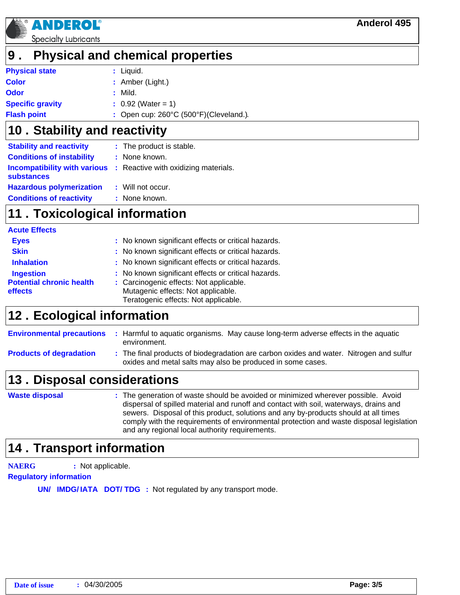

**effects**

**Specialty Lubricants** 

NDE

### **9 . Physical and chemical properties**

| <b>Physical state</b>   | : Liquid.                               |
|-------------------------|-----------------------------------------|
| Color                   | $:$ Amber (Light.)                      |
| Odor                    | : Mild.                                 |
| <b>Specific gravity</b> | $\therefore$ 0.92 (Water = 1)           |
| <b>Flash point</b>      | : Open cup: 260°C (500°F) (Cleveland.). |

#### **Stability and reactivity 10 .**

| <b>Stability and reactivity</b>  | : The product is stable.                                                 |
|----------------------------------|--------------------------------------------------------------------------|
| <b>Conditions of instability</b> | : None known.                                                            |
| substances                       | <b>Incompatibility with various</b> : Reactive with oxidizing materials. |
| <b>Hazardous polymerization</b>  | : Will not occur.                                                        |
| <b>Conditions of reactivity</b>  | : None known.                                                            |

### **11 . Toxicological information**

| <b>Acute Effects</b>                              |                                                                                                                                                                                                                               |
|---------------------------------------------------|-------------------------------------------------------------------------------------------------------------------------------------------------------------------------------------------------------------------------------|
| <b>Eyes</b>                                       | : No known significant effects or critical hazards.                                                                                                                                                                           |
| <b>Skin</b>                                       | : No known significant effects or critical hazards.                                                                                                                                                                           |
| <b>Inhalation</b>                                 | : No known significant effects or critical hazards.                                                                                                                                                                           |
| <b>Ingestion</b>                                  | : No known significant effects or critical hazards.                                                                                                                                                                           |
| The concentration is a constant to a substitution | As a series of the series of the series of the series of the series of the series of the series of the series of the series of the series of the series of the series of the series of the series of the series of the series |

- **Potential chronic health :** Carcinogenic effects: Not applicable. Mutagenic effects: Not applicable.
	- Teratogenic effects: Not applicable.

# **12. Ecological information**

**Environmental precautions :** Harmful to aquatic organisms. May cause long-term adverse effects in the aquatic environment.

**Products of degradation :** The final products of biodegradation are carbon oxides and water. Nitrogen and sulfur oxides and metal salts may also be produced in some cases.

# **13. Disposal considerations**

The generation of waste should be avoided or minimized wherever possible. Avoid **:** dispersal of spilled material and runoff and contact with soil, waterways, drains and sewers. Disposal of this product, solutions and any by-products should at all times comply with the requirements of environmental protection and waste disposal legislation and any regional local authority requirements. **Waste disposal**

### **14 . Transport information**

**NAERG :** Not applicable.

**Regulatory information**

**UN/ IMDG/IATA DOT/TDG**: Not regulated by any transport mode.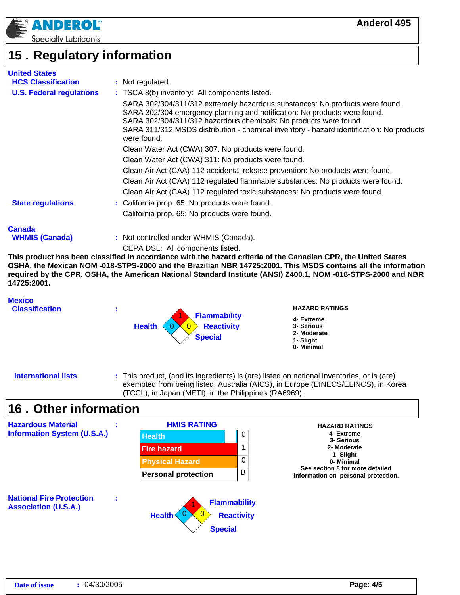

### **Regulatory information 15 .**

| <b>United States</b>            |                                                                                                                                                                                                                                                                                                                                           |
|---------------------------------|-------------------------------------------------------------------------------------------------------------------------------------------------------------------------------------------------------------------------------------------------------------------------------------------------------------------------------------------|
| <b>HCS Classification</b>       | : Not regulated.                                                                                                                                                                                                                                                                                                                          |
| <b>U.S. Federal regulations</b> | : TSCA 8(b) inventory: All components listed.                                                                                                                                                                                                                                                                                             |
|                                 | SARA 302/304/311/312 extremely hazardous substances: No products were found.<br>SARA 302/304 emergency planning and notification: No products were found.<br>SARA 302/304/311/312 hazardous chemicals: No products were found.<br>SARA 311/312 MSDS distribution - chemical inventory - hazard identification: No products<br>were found. |
|                                 | Clean Water Act (CWA) 307: No products were found.                                                                                                                                                                                                                                                                                        |
|                                 | Clean Water Act (CWA) 311: No products were found.                                                                                                                                                                                                                                                                                        |
|                                 | Clean Air Act (CAA) 112 accidental release prevention: No products were found.                                                                                                                                                                                                                                                            |
|                                 | Clean Air Act (CAA) 112 regulated flammable substances: No products were found.                                                                                                                                                                                                                                                           |
|                                 | Clean Air Act (CAA) 112 regulated toxic substances: No products were found.                                                                                                                                                                                                                                                               |
| <b>State regulations</b>        | : California prop. 65: No products were found.                                                                                                                                                                                                                                                                                            |
|                                 | California prop. 65: No products were found.                                                                                                                                                                                                                                                                                              |
| Canada                          |                                                                                                                                                                                                                                                                                                                                           |
| <b>WHMIS (Canada)</b>           | : Not controlled under WHMIS (Canada).                                                                                                                                                                                                                                                                                                    |

CEPA DSL: All components listed.

**This product has been classified in accordance with the hazard criteria of the Canadian CPR, the United States OSHA, the Mexican NOM -018-STPS-2000 and the Brazilian NBR 14725:2001. This MSDS contains all the information required by the CPR, OSHA, the American National Standard Institute (ANSI) Z400.1, NOM -018-STPS-2000 and NBR 14725:2001.**

#### **Mexico**

**Classification :**



#### **HAZARD RATINGS**

- **4- Extreme**
- **3- Serious**
- **2- Moderate 1- Slight**
- **0- Minimal**

**International lists**

**:** This product, (and its ingredients) is (are) listed on national inventories, or is (are) exempted from being listed, Australia (AICS), in Europe (EINECS/ELINCS), in Korea (TCCL), in Japan (METI), in the Philippines (RA6969).

### **Other information 16 .**